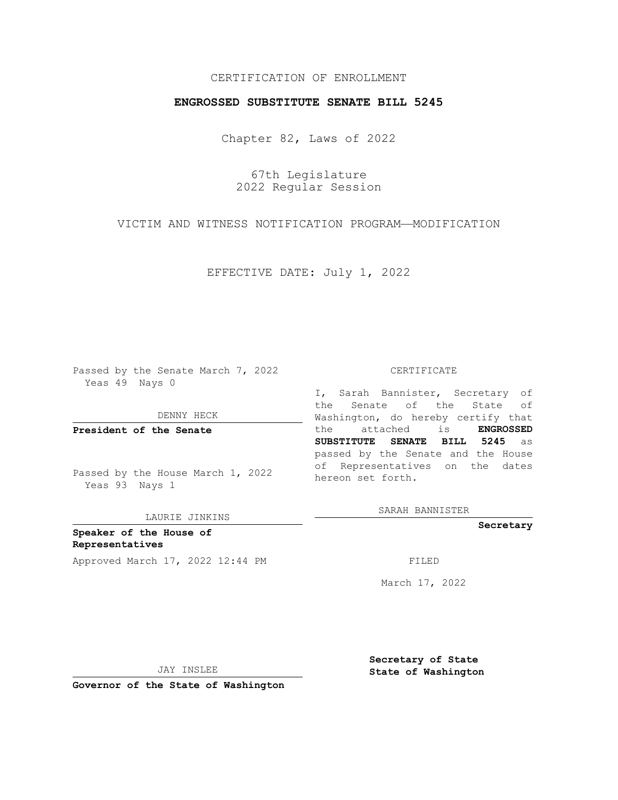## CERTIFICATION OF ENROLLMENT

## **ENGROSSED SUBSTITUTE SENATE BILL 5245**

Chapter 82, Laws of 2022

67th Legislature 2022 Regular Session

VICTIM AND WITNESS NOTIFICATION PROGRAM—MODIFICATION

EFFECTIVE DATE: July 1, 2022

Passed by the Senate March 7, 2022 Yeas 49 Nays 0

DENNY HECK

**President of the Senate**

Passed by the House March 1, 2022 Yeas 93 Nays 1

LAURIE JINKINS

**Speaker of the House of Representatives** Approved March 17, 2022 12:44 PM FILED

#### CERTIFICATE

I, Sarah Bannister, Secretary of the Senate of the State of Washington, do hereby certify that the attached is **ENGROSSED SUBSTITUTE SENATE BILL 5245** as passed by the Senate and the House of Representatives on the dates hereon set forth.

SARAH BANNISTER

**Secretary**

March 17, 2022

JAY INSLEE

**Secretary of State State of Washington**

**Governor of the State of Washington**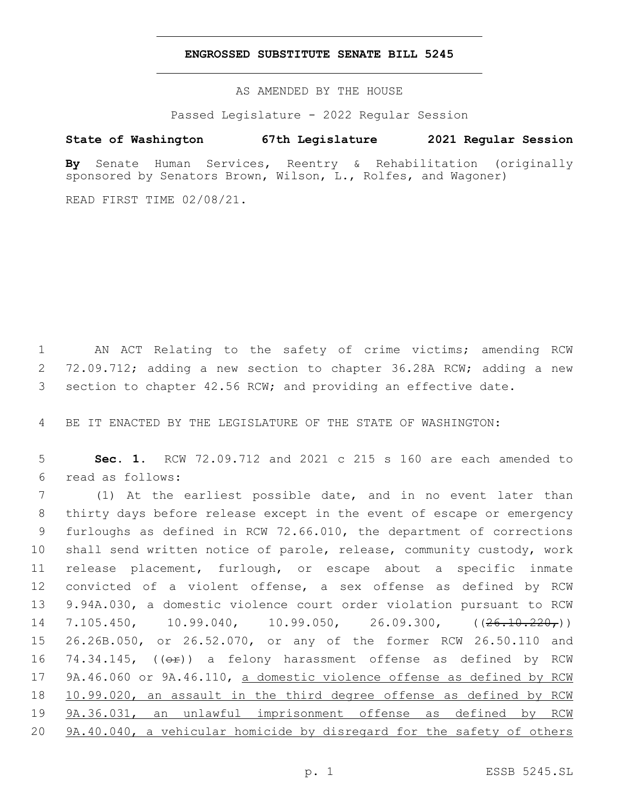### **ENGROSSED SUBSTITUTE SENATE BILL 5245**

AS AMENDED BY THE HOUSE

Passed Legislature - 2022 Regular Session

# **State of Washington 67th Legislature 2021 Regular Session**

**By** Senate Human Services, Reentry & Rehabilitation (originally sponsored by Senators Brown, Wilson, L., Rolfes, and Wagoner)

READ FIRST TIME 02/08/21.

1 AN ACT Relating to the safety of crime victims; amending RCW 2 72.09.712; adding a new section to chapter 36.28A RCW; adding a new 3 section to chapter 42.56 RCW; and providing an effective date.

4 BE IT ENACTED BY THE LEGISLATURE OF THE STATE OF WASHINGTON:

5 **Sec. 1.** RCW 72.09.712 and 2021 c 215 s 160 are each amended to read as follows:6

 (1) At the earliest possible date, and in no event later than thirty days before release except in the event of escape or emergency furloughs as defined in RCW 72.66.010, the department of corrections shall send written notice of parole, release, community custody, work release placement, furlough, or escape about a specific inmate convicted of a violent offense, a sex offense as defined by RCW 9.94A.030, a domestic violence court order violation pursuant to RCW 14 7.105.450, 10.99.040, 10.99.050, 26.09.300, ((<del>26.10.220,</del>)) 26.26B.050, or 26.52.070, or any of the former RCW 26.50.110 and 16 74.34.145,  $((\theta \cdot \hat{r}))$  a felony harassment offense as defined by RCW 17 9A.46.060 or 9A.46.110, a domestic violence offense as defined by RCW 10.99.020, an assault in the third degree offense as defined by RCW 9A.36.031, an unlawful imprisonment offense as defined by RCW 9A.40.040, a vehicular homicide by disregard for the safety of others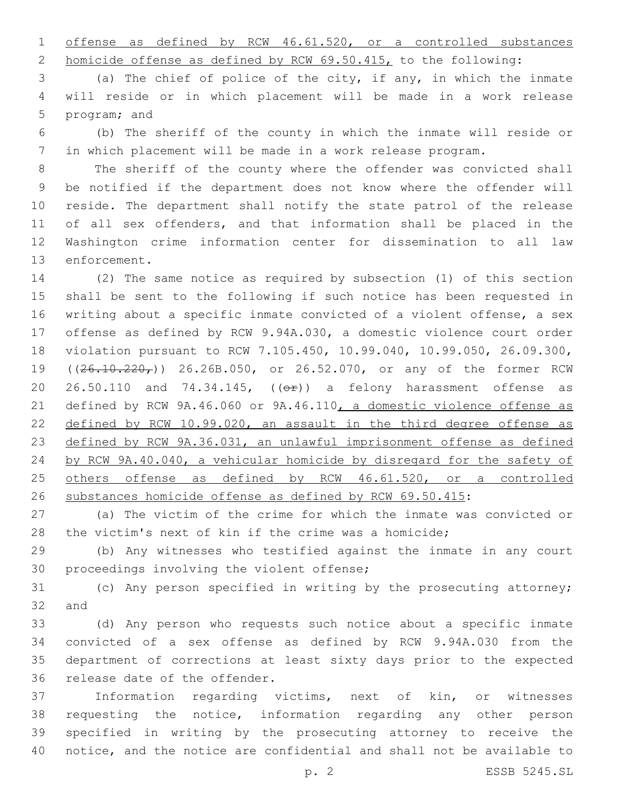offense as defined by RCW 46.61.520, or a controlled substances

homicide offense as defined by RCW 69.50.415, to the following:

 (a) The chief of police of the city, if any, in which the inmate will reside or in which placement will be made in a work release 5 program; and

 (b) The sheriff of the county in which the inmate will reside or in which placement will be made in a work release program.

 The sheriff of the county where the offender was convicted shall be notified if the department does not know where the offender will reside. The department shall notify the state patrol of the release of all sex offenders, and that information shall be placed in the Washington crime information center for dissemination to all law 13 enforcement.

 (2) The same notice as required by subsection (1) of this section shall be sent to the following if such notice has been requested in writing about a specific inmate convicted of a violent offense, a sex offense as defined by RCW 9.94A.030, a domestic violence court order violation pursuant to RCW 7.105.450, 10.99.040, 10.99.050, 26.09.300, 19 ((26.10.220,)) 26.26B.050, or 26.52.070, or any of the former RCW 20 26.50.110 and 74.34.145,  $((\Theta \rightarrow \bullet) )$  a felony harassment offense as defined by RCW 9A.46.060 or 9A.46.110, a domestic violence offense as defined by RCW 10.99.020, an assault in the third degree offense as defined by RCW 9A.36.031, an unlawful imprisonment offense as defined by RCW 9A.40.040, a vehicular homicide by disregard for the safety of 25 others offense as defined by RCW 46.61.520, or a controlled substances homicide offense as defined by RCW 69.50.415:

 (a) The victim of the crime for which the inmate was convicted or the victim's next of kin if the crime was a homicide;

 (b) Any witnesses who testified against the inmate in any court 30 proceedings involving the violent offense;

 (c) Any person specified in writing by the prosecuting attorney; 32 and

 (d) Any person who requests such notice about a specific inmate convicted of a sex offense as defined by RCW 9.94A.030 from the department of corrections at least sixty days prior to the expected 36 release date of the offender.

 Information regarding victims, next of kin, or witnesses requesting the notice, information regarding any other person specified in writing by the prosecuting attorney to receive the notice, and the notice are confidential and shall not be available to

p. 2 ESSB 5245.SL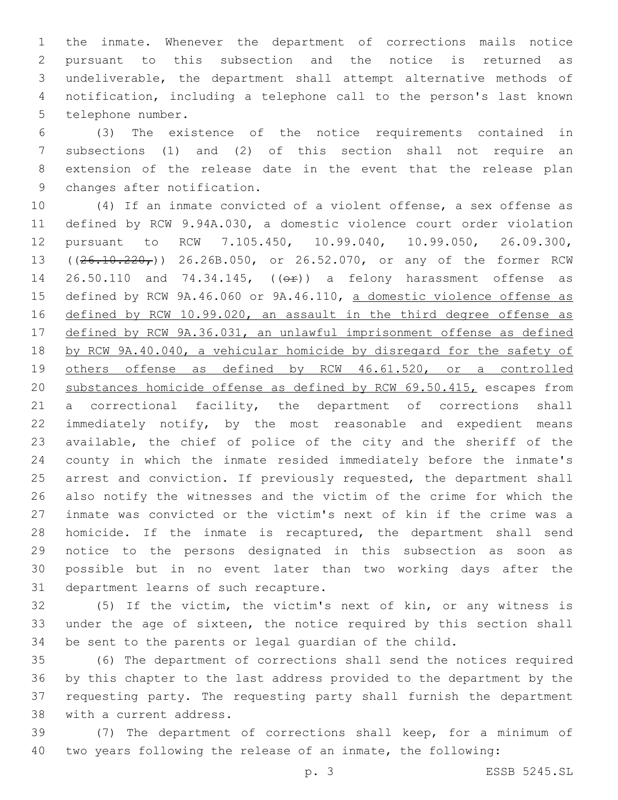the inmate. Whenever the department of corrections mails notice pursuant to this subsection and the notice is returned as undeliverable, the department shall attempt alternative methods of notification, including a telephone call to the person's last known 5 telephone number.

 (3) The existence of the notice requirements contained in subsections (1) and (2) of this section shall not require an extension of the release date in the event that the release plan 9 changes after notification.

 (4) If an inmate convicted of a violent offense, a sex offense as defined by RCW 9.94A.030, a domestic violence court order violation pursuant to RCW 7.105.450, 10.99.040, 10.99.050, 26.09.300, 13 ((26.10.220,)) 26.26B.050, or 26.52.070, or any of the former RCW 14 26.50.110 and 74.34.145, (( $\Theta$ ) a felony harassment offense as defined by RCW 9A.46.060 or 9A.46.110, a domestic violence offense as defined by RCW 10.99.020, an assault in the third degree offense as defined by RCW 9A.36.031, an unlawful imprisonment offense as defined by RCW 9A.40.040, a vehicular homicide by disregard for the safety of others offense as defined by RCW 46.61.520, or a controlled substances homicide offense as defined by RCW 69.50.415, escapes from a correctional facility, the department of corrections shall immediately notify, by the most reasonable and expedient means available, the chief of police of the city and the sheriff of the county in which the inmate resided immediately before the inmate's 25 arrest and conviction. If previously requested, the department shall also notify the witnesses and the victim of the crime for which the inmate was convicted or the victim's next of kin if the crime was a homicide. If the inmate is recaptured, the department shall send notice to the persons designated in this subsection as soon as possible but in no event later than two working days after the 31 department learns of such recapture.

 (5) If the victim, the victim's next of kin, or any witness is under the age of sixteen, the notice required by this section shall be sent to the parents or legal guardian of the child.

 (6) The department of corrections shall send the notices required by this chapter to the last address provided to the department by the requesting party. The requesting party shall furnish the department 38 with a current address.

 (7) The department of corrections shall keep, for a minimum of two years following the release of an inmate, the following: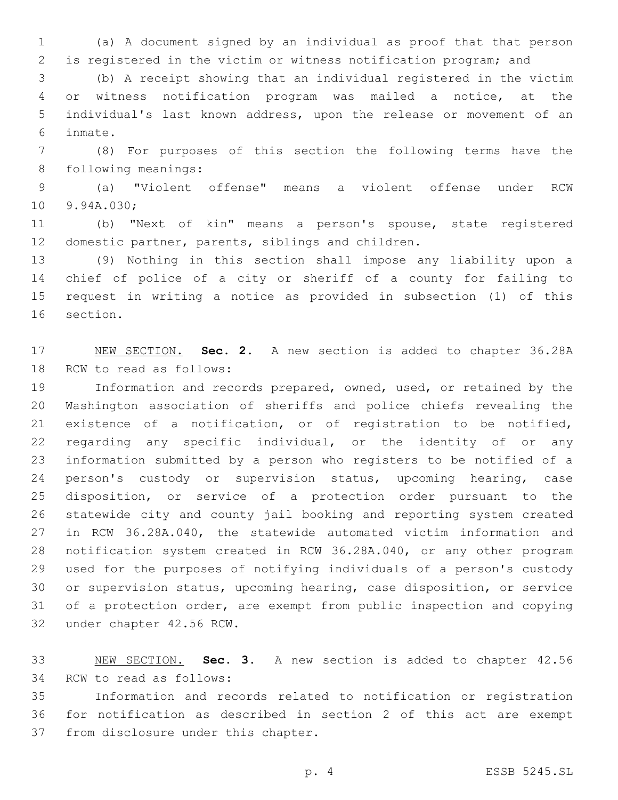(a) A document signed by an individual as proof that that person is registered in the victim or witness notification program; and

 (b) A receipt showing that an individual registered in the victim or witness notification program was mailed a notice, at the individual's last known address, upon the release or movement of an inmate.6

 (8) For purposes of this section the following terms have the 8 following meanings:

 (a) "Violent offense" means a violent offense under RCW 10 9.94A.030;

 (b) "Next of kin" means a person's spouse, state registered 12 domestic partner, parents, siblings and children.

 (9) Nothing in this section shall impose any liability upon a chief of police of a city or sheriff of a county for failing to request in writing a notice as provided in subsection (1) of this 16 section.

 NEW SECTION. **Sec. 2.** A new section is added to chapter 36.28A 18 RCW to read as follows:

 Information and records prepared, owned, used, or retained by the Washington association of sheriffs and police chiefs revealing the existence of a notification, or of registration to be notified, regarding any specific individual, or the identity of or any information submitted by a person who registers to be notified of a 24 person's custody or supervision status, upcoming hearing, case disposition, or service of a protection order pursuant to the statewide city and county jail booking and reporting system created in RCW 36.28A.040, the statewide automated victim information and notification system created in RCW 36.28A.040, or any other program used for the purposes of notifying individuals of a person's custody or supervision status, upcoming hearing, case disposition, or service of a protection order, are exempt from public inspection and copying 32 under chapter 42.56 RCW.

 NEW SECTION. **Sec. 3.** A new section is added to chapter 42.56 34 RCW to read as follows:

 Information and records related to notification or registration for notification as described in section 2 of this act are exempt 37 from disclosure under this chapter.